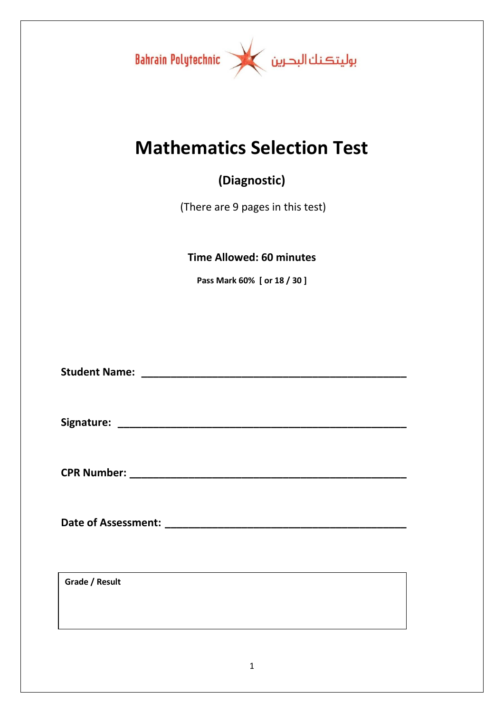

# **Mathematics Selection Test**

## **(Diagnostic)**

(There are 9 pages in this test)

## **Time Allowed: 60 minutes**

**Pass Mark 60% [ or 18 / 30 ]**

**Student Name: \_\_\_\_\_\_\_\_\_\_\_\_\_\_\_\_\_\_\_\_\_\_\_\_\_\_\_\_\_\_\_\_\_\_\_\_\_\_\_\_\_\_\_\_\_**

**Signature: \_\_\_\_\_\_\_\_\_\_\_\_\_\_\_\_\_\_\_\_\_\_\_\_\_\_\_\_\_\_\_\_\_\_\_\_\_\_\_\_\_\_\_\_\_\_\_\_\_**

**CPR Number: \_\_\_\_\_\_\_\_\_\_\_\_\_\_\_\_\_\_\_\_\_\_\_\_\_\_\_\_\_\_\_\_\_\_\_\_\_\_\_\_\_\_\_\_\_\_\_**

**Date of Assessment: \_\_\_\_\_\_\_\_\_\_\_\_\_\_\_\_\_\_\_\_\_\_\_\_\_\_\_\_\_\_\_\_\_\_\_\_\_\_\_\_\_**

**Grade / Result**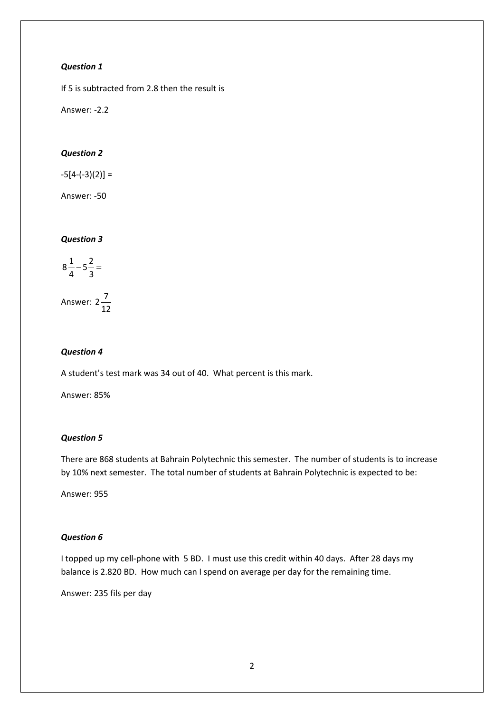If 5 is subtracted from 2.8 then the result is

Answer: -2.2

#### *Question 2*

 $-5[4-(-3)(2)] =$ 

Answer: -50

#### *Question 3*

$$
8\frac{1}{4} - 5\frac{2}{3} =
$$

Answer: 12  $2\frac{7}{12}$ 

#### *Question 4*

A student's test mark was 34 out of 40. What percent is this mark.

Answer: 85%

#### *Question 5*

There are 868 students at Bahrain Polytechnic this semester. The number of students is to increase by 10% next semester. The total number of students at Bahrain Polytechnic is expected to be:

Answer: 955

#### *Question 6*

I topped up my cell-phone with 5 BD. I must use this credit within 40 days. After 28 days my balance is 2.820 BD. How much can I spend on average per day for the remaining time.

Answer: 235 fils per day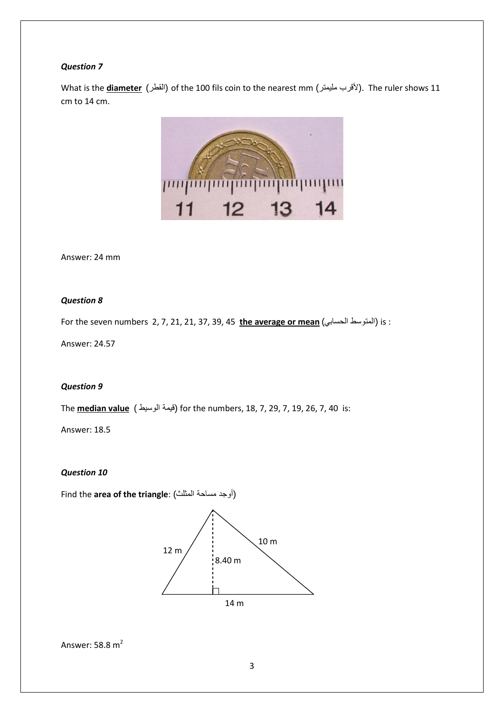What is the <u>diameter</u> (القطر) of the 100 fils coin to the nearest mm (الأقرب مليمتر). The ruler shows 11 cm to 14 cm.



Answer: 24 mm

#### *Question 8*

For the seven numbers 2, 7, 21, 21, 37, 39, 45 **the average or mean** (الحسابي المتوسط (is :

Answer: 24.57

#### *Question 9*

The **median value** ( الوسيط قيمة (for the numbers, 18, 7, 29, 7, 19, 26, 7, 40 is:

Answer: 18.5

*Question 10*

Find the **area of the triangle**: (المثلث مساحة أوجد(



```
Answer: 58.8 \text{ m}^2
```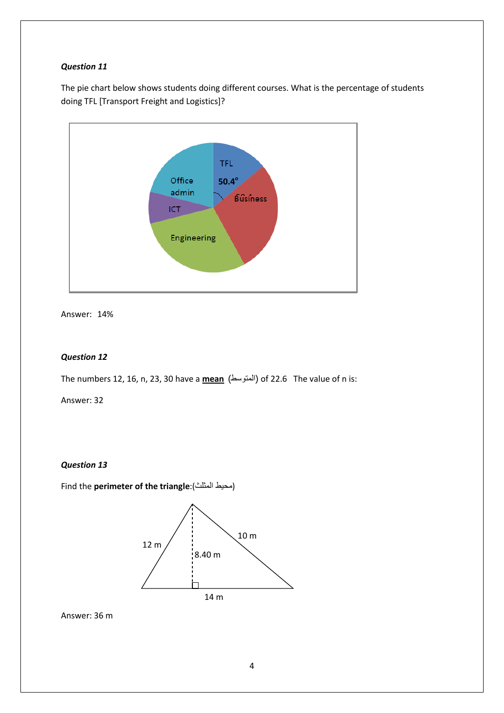The pie chart below shows students doing different courses. What is the percentage of students doing TFL [Transport Freight and Logistics]?



Answer: 14%

#### *Question 12*

The numbers 12, 16, n, 23, 30 have a **mean** (المتوسط (of 22.6 The value of n is:

Answer: 32

#### *Question 13*

Find the **perimeter of the triangle**:(المثلث محيط(



Answer: 36 m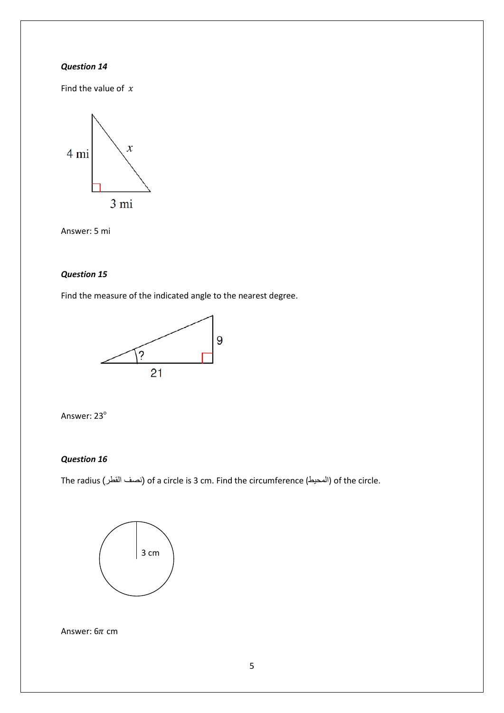Find the value of  $x$ 



Answer: 5 mi

#### *Question 15*

Find the measure of the indicated angle to the nearest degree.





#### *Question 16*

The radius (القطر نصف (of a circle is 3 cm. Find the circumference (المحيط (of the circle.



Answer:  $6\pi$  cm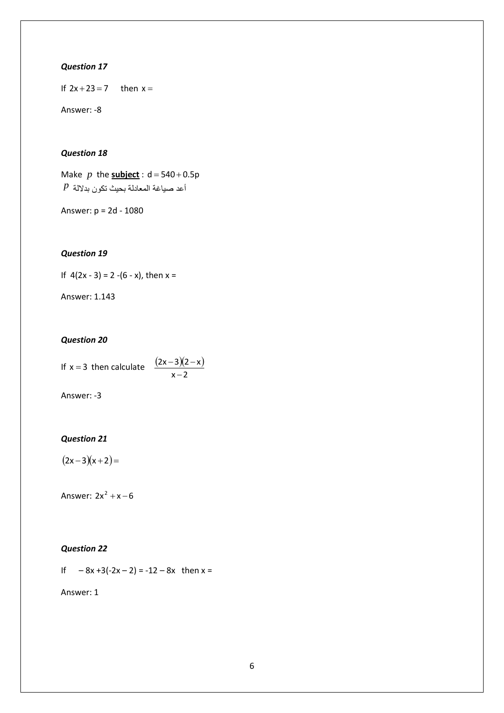If  $2x + 23 = 7$  then  $x =$ 

Answer: -8

#### *Question 18*

Make  $p$  the **subject**:  $d = 540 + 0.5p$ أعد صياغة المعادلة بحيث تكون بدلالة *p*

Answer: p = 2d - 1080

#### *Question 19*

If  $4(2x - 3) = 2 - (6 - x)$ , then  $x =$ 

Answer: 1.143

#### *Question 20*

| If $x = 3$ then calculate | $(2x-3)(2-x)$ |
|---------------------------|---------------|
|                           | $x - 2$       |

Answer: -3

#### *Question 21*

 $(2x-3)(x+2) =$ 

Answer:  $2x^2 + x - 6$ 

#### *Question 22*

If  $-8x+3(-2x-2) = -12-8x$  then  $x =$ 

Answer: 1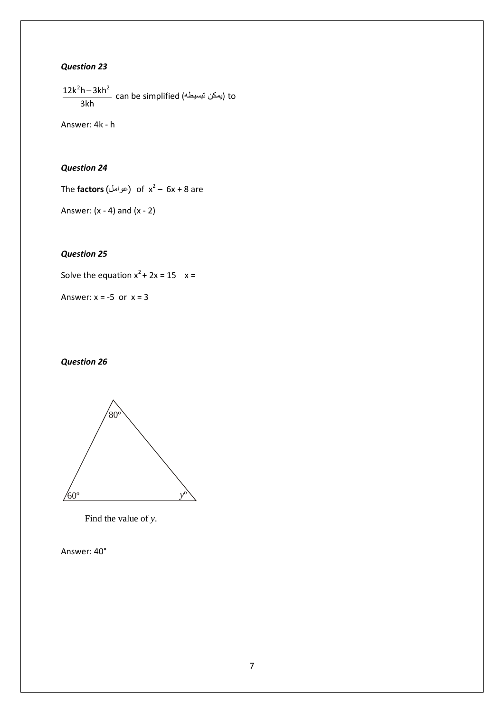3kh  $\frac{12k^2h - 3kh^2}{2}$  can be simplified (يمكن تبسيطه إ $t$ o

Answer: 4k - h

#### *Question 24*

The **factors** (عوامل) of  $x^2 - 6x + 8$  are

Answer:  $(x - 4)$  and  $(x - 2)$ 

#### *Question 25*

Solve the equation  $x^2 + 2x = 15$   $x =$ 

Answer:  $x = -5$  or  $x = 3$ 

#### *Question 26*



Find the value of *y*.

Answer: 40°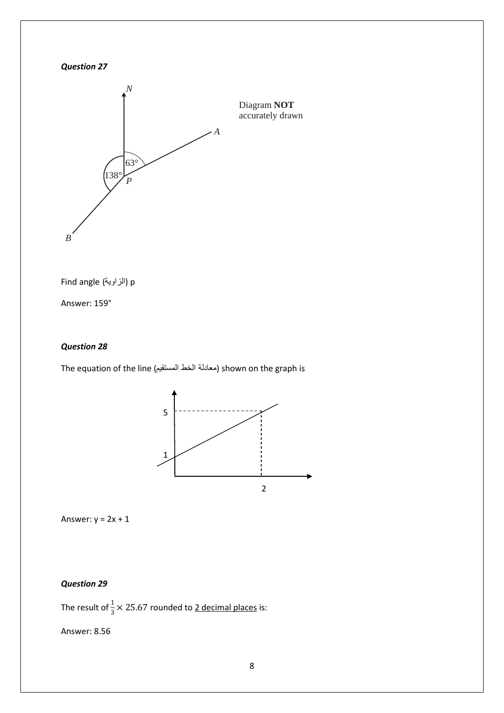



Find angle (الزاوية) p

Answer: 159°

#### *Question 28*

The equation of the line (المستقيم الخط معادلة (shown on the graph is



Answer:  $y = 2x + 1$ 

#### *Question 29*

The result of  $\frac{1}{3}$   $\times$  25.67 rounded to <u>2 decimal places</u> is:

Answer: 8.56